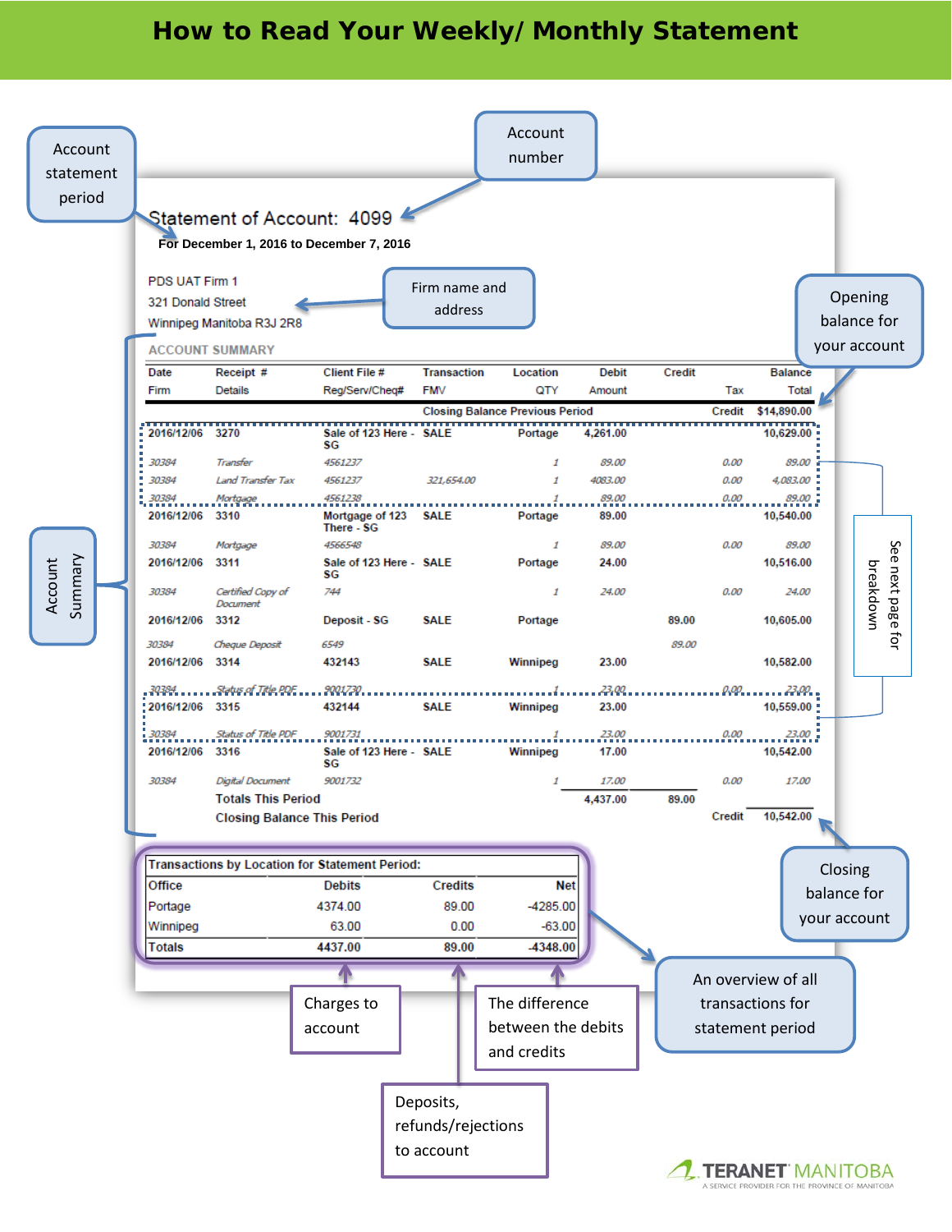## **How to Read Your Weekly/Monthly Statement**

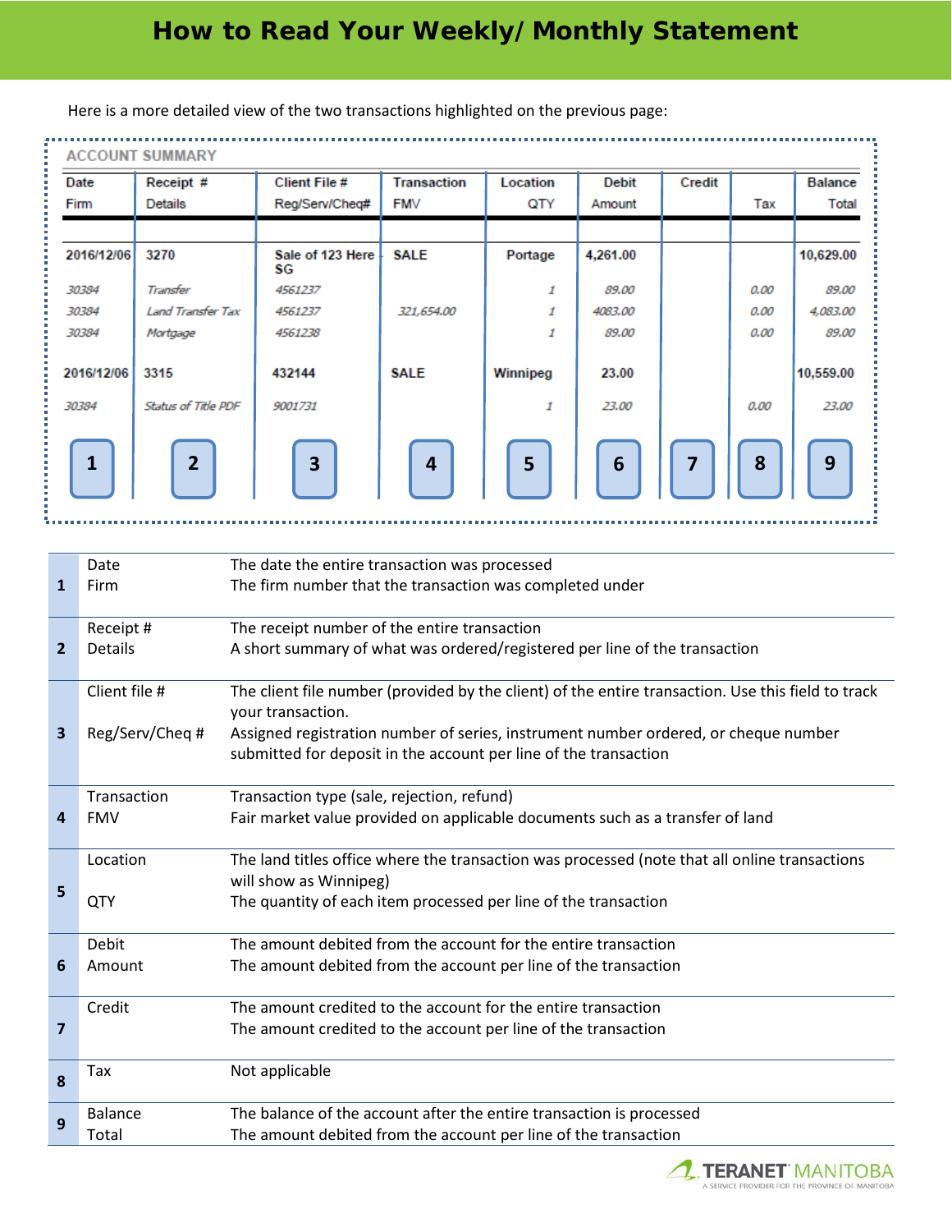| <b>ACCOUNT SUMMARY</b> |                             |                                        |                                  |                 |                        |                |      |                         |
|------------------------|-----------------------------|----------------------------------------|----------------------------------|-----------------|------------------------|----------------|------|-------------------------|
| Date<br>Firm           | Receipt #<br><b>Details</b> | <b>Client File #</b><br>Reg/Serv/Cheq# | <b>Transaction</b><br><b>FMV</b> | Location<br>QTY | <b>Debit</b><br>Amount | Credit         | Tax  | <b>Balance</b><br>Total |
| 2016/12/06             | 3270                        | Sale of 123 Here<br>SG                 | <b>SALE</b>                      | Portage         | 4,261.00               |                |      | 10,629.00               |
| 30384                  | Transfer                    | 4561237                                |                                  | 1               | 89.00                  |                | 0.00 | 89.00                   |
| 30384                  | <b>Land Transfer Tax</b>    | 4561237                                | 321,654.00                       | 1               | 4083.00                |                | 0.00 | 4,083.00                |
| 30384                  | Mortgage                    | 4561238                                |                                  | 1               | 89.00                  |                | 0.00 | 89.00                   |
| 2016/12/06             | 3315                        | 432144                                 | <b>SALE</b>                      | Winnipeg        | 23.00                  |                |      | 10,559.00               |
| 30384                  | Status of Title PDF         | 9001731                                |                                  | 1               | 23.00                  |                | 0.00 | 23.00                   |
| $\mathbf{1}$           | $\overline{2}$              | $\overline{\mathbf{3}}$                | $\overline{4}$                   | 5               | $6\phantom{1}6$        | $\overline{7}$ | 8    | 9                       |

Here is a more detailed view of the two transactions highlighted on the previous page:

|                         | Date            | The date the entire transaction was processed                                                                           |
|-------------------------|-----------------|-------------------------------------------------------------------------------------------------------------------------|
| $\mathbf{1}$            | Firm            | The firm number that the transaction was completed under                                                                |
|                         |                 |                                                                                                                         |
|                         | Receipt #       | The receipt number of the entire transaction                                                                            |
| $\overline{2}$          | Details         | A short summary of what was ordered/registered per line of the transaction                                              |
|                         |                 |                                                                                                                         |
|                         | Client file #   | The client file number (provided by the client) of the entire transaction. Use this field to track<br>your transaction. |
| 3                       | Reg/Serv/Cheq # | Assigned registration number of series, instrument number ordered, or cheque number                                     |
|                         |                 | submitted for deposit in the account per line of the transaction                                                        |
|                         |                 |                                                                                                                         |
|                         | Transaction     | Transaction type (sale, rejection, refund)                                                                              |
| 4                       | <b>FMV</b>      | Fair market value provided on applicable documents such as a transfer of land                                           |
|                         |                 |                                                                                                                         |
|                         | Location        | The land titles office where the transaction was processed (note that all online transactions                           |
| 5                       |                 | will show as Winnipeg)                                                                                                  |
|                         | QTY             | The quantity of each item processed per line of the transaction                                                         |
|                         |                 |                                                                                                                         |
|                         | Debit           | The amount debited from the account for the entire transaction                                                          |
| 6                       | Amount          | The amount debited from the account per line of the transaction                                                         |
|                         | Credit          | The amount credited to the account for the entire transaction                                                           |
| $\overline{\mathbf{z}}$ |                 |                                                                                                                         |
|                         |                 | The amount credited to the account per line of the transaction                                                          |
|                         | Tax             | Not applicable                                                                                                          |
| 8                       |                 |                                                                                                                         |
|                         | <b>Balance</b>  | The balance of the account after the entire transaction is processed                                                    |
| 9                       | Total           | The amount debited from the account per line of the transaction                                                         |